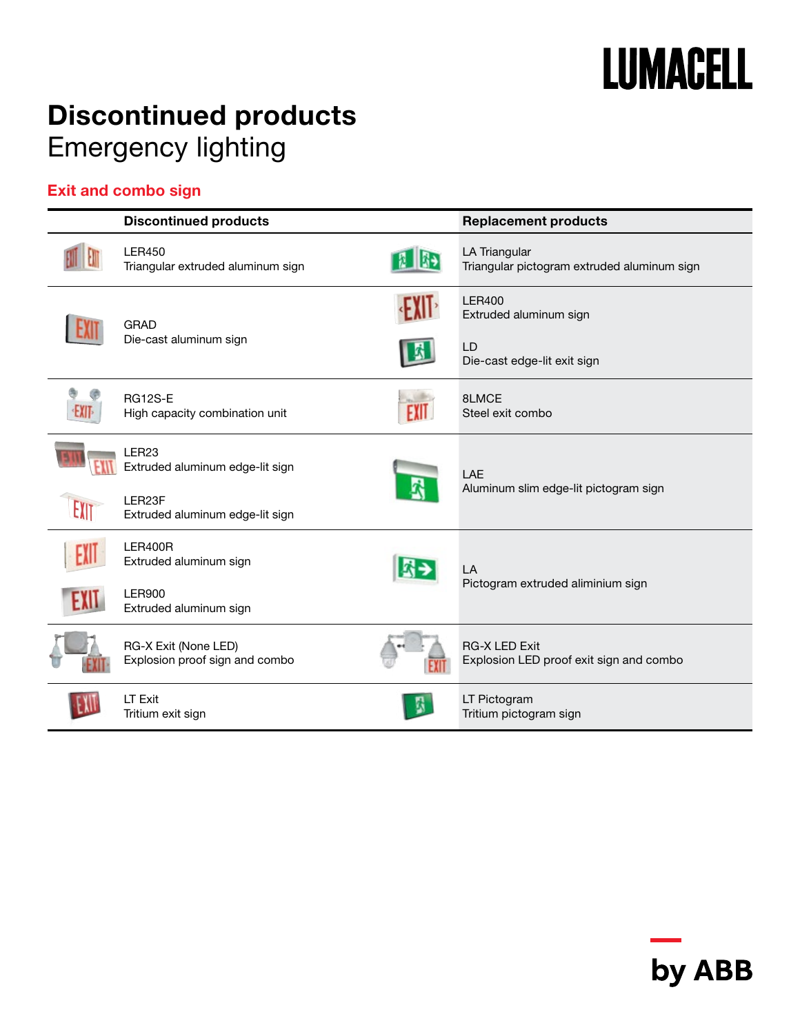

## Discontinued products Emergency lighting

### Exit and combo sign

|      | <b>Discontinued products</b>                           | <b>Replacement products</b>                                                  |
|------|--------------------------------------------------------|------------------------------------------------------------------------------|
|      | <b>LER450</b><br>Triangular extruded aluminum sign     | LA Triangular<br>Triangular pictogram extruded aluminum sign                 |
|      | <b>GRAD</b><br>Die-cast aluminum sign                  | <b>LER400</b><br>Extruded aluminum sign<br>LD<br>Die-cast edge-lit exit sign |
| EXIT | <b>RG12S-E</b><br>High capacity combination unit       | 8LMCE<br>Steel exit combo                                                    |
|      | LER <sub>23</sub><br>Extruded aluminum edge-lit sign   | LAE<br>Aluminum slim edge-lit pictogram sign                                 |
| EXIT | LER23F<br>Extruded aluminum edge-lit sign              |                                                                              |
|      | <b>LER400R</b><br>Extruded aluminum sign               | LA                                                                           |
| EXIL | <b>LER900</b><br>Extruded aluminum sign                | Pictogram extruded aliminium sign                                            |
|      | RG-X Exit (None LED)<br>Explosion proof sign and combo | <b>RG-X LED Exit</b><br>Explosion LED proof exit sign and combo              |
|      | LT Exit<br>Tritium exit sign                           | LT Pictogram<br>Tritium pictogram sign                                       |

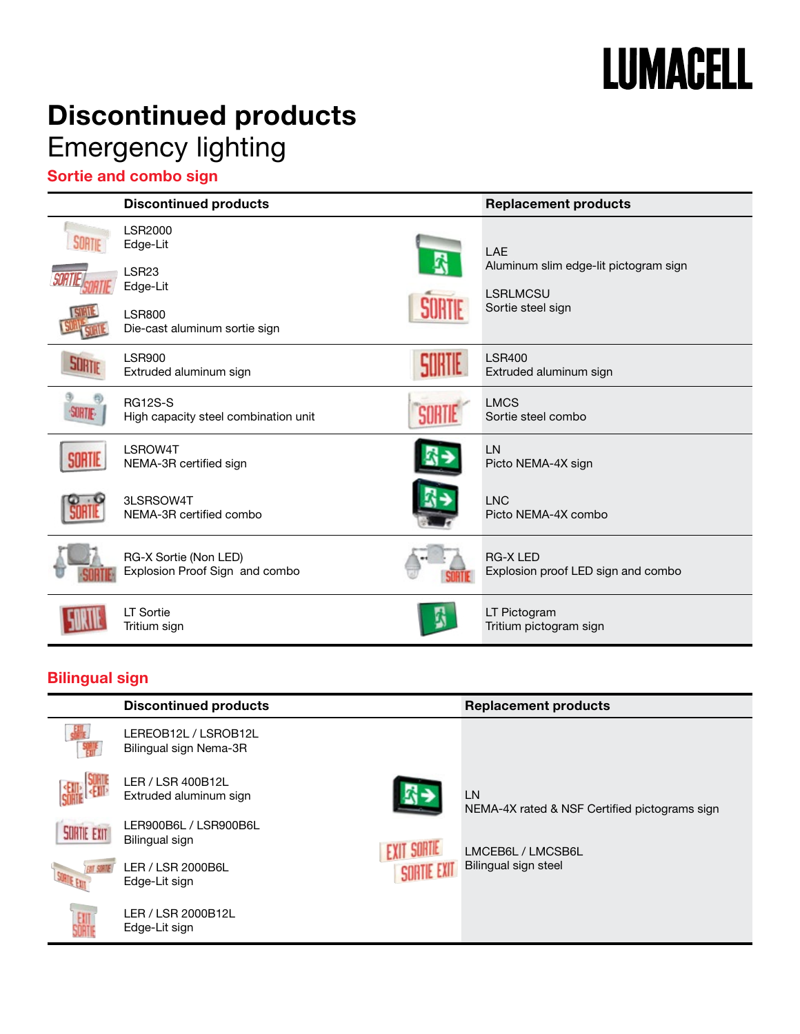# **LUMACELL**

## Discontinued products Emergency lighting

### Sortie and combo sign

|        | <b>Discontinued products</b>                            | <b>Replacement products</b>                              |
|--------|---------------------------------------------------------|----------------------------------------------------------|
| SORTIE | <b>LSR2000</b><br>Edge-Lit                              | LAE                                                      |
|        | LSR <sub>23</sub><br>Edge-Lit                           | Aluminum slim edge-lit pictogram sign<br><b>LSRLMCSU</b> |
|        | <b>LSR800</b><br>Die-cast aluminum sortie sign          | Sortie steel sign                                        |
|        | <b>LSR900</b><br>Extruded aluminum sign                 | <b>LSR400</b><br>Extruded aluminum sign                  |
|        | <b>RG12S-S</b><br>High capacity steel combination unit  | <b>LMCS</b><br>Sortie steel combo                        |
|        | LSROW4T<br>NEMA-3R certified sign                       | LN<br>Picto NEMA-4X sign                                 |
|        | 3LSRSOW4T<br>NEMA-3R certified combo                    | <b>LNC</b><br>Picto NEMA-4X combo                        |
|        | RG-X Sortie (Non LED)<br>Explosion Proof Sign and combo | <b>RG-X LED</b><br>Explosion proof LED sign and combo    |
|        | LT Sortie<br>Tritium sign                               | LT Pictogram<br>Tritium pictogram sign                   |

### Bilingual sign

|                    | <b>Discontinued products</b>                   |             | <b>Replacement products</b>                                |
|--------------------|------------------------------------------------|-------------|------------------------------------------------------------|
|                    | LEREOB12L / LSROB12L<br>Bilingual sign Nema-3R |             |                                                            |
|                    | LER / LSR 400B12L<br>Extruded aluminum sign    |             | <b>LN</b><br>NEMA-4X rated & NSF Certified pictograms sign |
| <b>SURTIE EXIT</b> | LER900B6L / LSR900B6L<br>Bilingual sign        |             | LMCEB6L / LMCSB6L                                          |
|                    | LER / LSR 2000B6L<br>Edge-Lit sign             | SORTIE EXIT | Bilingual sign steel                                       |
|                    | LER / LSR 2000B12L<br>Edge-Lit sign            |             |                                                            |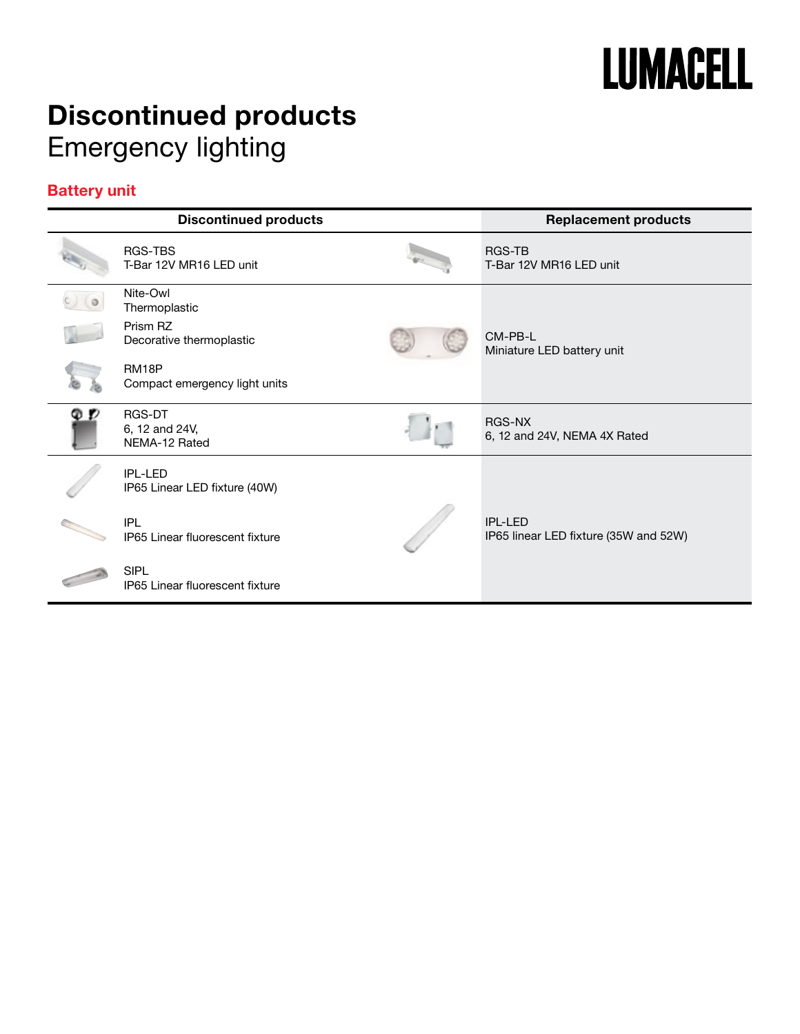

## Discontinued products Emergency lighting

#### Battery unit

| <b>Discontinued products</b>                    | <b>Replacement products</b>                           |
|-------------------------------------------------|-------------------------------------------------------|
| RGS-TBS<br>T-Bar 12V MR16 LED unit              | RGS-TB<br>T-Bar 12V MR16 LED unit                     |
| Nite-Owl<br>Thermoplastic                       |                                                       |
| Prism RZ<br>Decorative thermoplastic            | CM-PB-L<br>Miniature LED battery unit                 |
| RM18P<br>Compact emergency light units          |                                                       |
| RGS-DT<br>6, 12 and 24V,<br>NEMA-12 Rated       | RGS-NX<br>6, 12 and 24V, NEMA 4X Rated                |
| <b>IPL-LED</b><br>IP65 Linear LED fixture (40W) |                                                       |
| <b>IPL</b><br>IP65 Linear fluorescent fixture   | $IPI - I FD$<br>IP65 linear LED fixture (35W and 52W) |
| <b>SIPL</b><br>IP65 Linear fluorescent fixture  |                                                       |